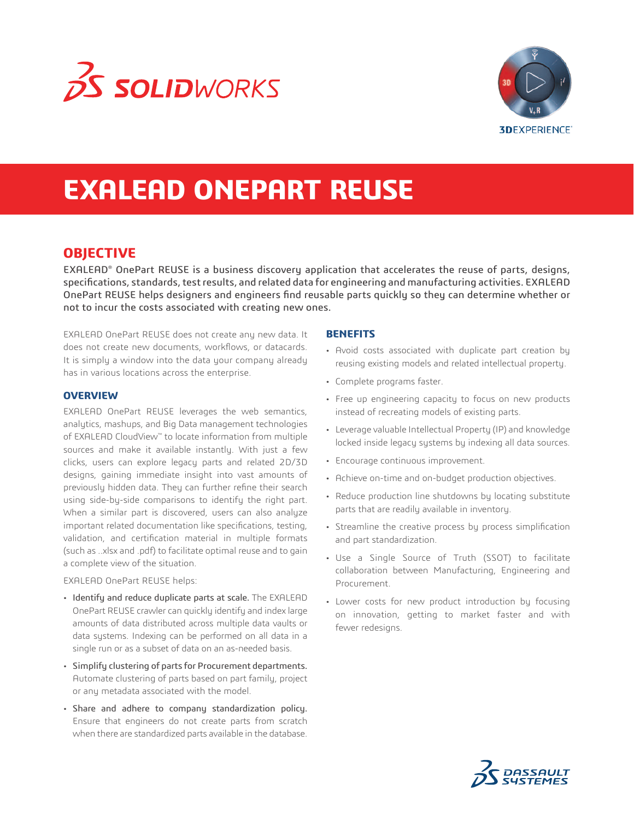



# **EXALEAD ONEPART REUSE**

# **OBJECTIVE**

EXALEAD® OnePart REUSE is a business discovery application that accelerates the reuse of parts, designs, specifications, standards, test results, and related data for engineering and manufacturing activities. EXALEAD OnePart REUSE helps designers and engineers find reusable parts quickly so they can determine whether or not to incur the costs associated with creating new ones.

EXALEAD OnePart REUSE does not create any new data. It does not create new documents, workflows, or datacards. It is simply a window into the data your company already has in various locations across the enterprise.

#### **OVERVIEW**

EXALEAD OnePart REUSE leverages the web semantics, analytics, mashups, and Big Data management technologies of EXALEAD CloudView™ to locate information from multiple sources and make it available instantly. With just a few clicks, users can explore legacy parts and related 2D/3D designs, gaining immediate insight into vast amounts of previously hidden data. They can further refine their search using side-by-side comparisons to identify the right part. When a similar part is discovered, users can also analyze important related documentation like specifications, testing, validation, and certification material in multiple formats (such as ..xlsx and .pdf) to facilitate optimal reuse and to gain a complete view of the situation.

#### EXALEAD OnePart REUSE helps:

- Identify and reduce duplicate parts at scale. The EXALEAD OnePart REUSE crawler can quickly identify and index large amounts of data distributed across multiple data vaults or data systems. Indexing can be performed on all data in a single run or as a subset of data on an as-needed basis.
- Simplify clustering of parts for Procurement departments. Automate clustering of parts based on part family, project or any metadata associated with the model.
- Share and adhere to company standardization policy. Ensure that engineers do not create parts from scratch when there are standardized parts available in the database.

### **BENEFITS**

- Avoid costs associated with duplicate part creation by reusing existing models and related intellectual property.
- Complete programs faster.
- Free up engineering capacity to focus on new products instead of recreating models of existing parts.
- Leverage valuable Intellectual Property (IP) and knowledge locked inside legacy systems by indexing all data sources.
- Encourage continuous improvement.
- Achieve on-time and on-budget production objectives.
- Reduce production line shutdowns by locating substitute parts that are readily available in inventory.
- Streamline the creative process by process simplification and part standardization.
- Use a Single Source of Truth (SSOT) to facilitate collaboration between Manufacturing, Engineering and Procurement.
- Lower costs for new product introduction by focusing on innovation, getting to market faster and with fewer redesigns.